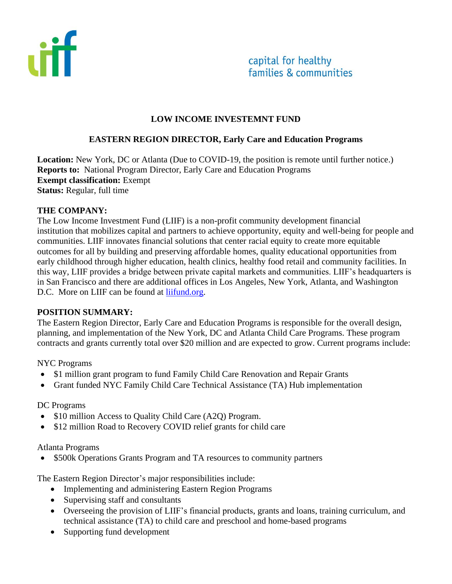



#### **LOW INCOME INVESTEMNT FUND**

#### **EASTERN REGION DIRECTOR, Early Care and Education Programs**

**Location:** New York, DC or Atlanta (Due to COVID-19, the position is remote until further notice.) **Reports to:** National Program Director, Early Care and Education Programs **Exempt classification:** Exempt **Status:** Regular, full time

#### **THE COMPANY:**

The Low Income Investment Fund (LIIF) is a non-profit community development financial institution that mobilizes capital and partners to achieve opportunity, equity and well-being for people and communities. LIIF innovates financial solutions that center racial equity to create more equitable outcomes for all by building and preserving affordable homes, quality educational opportunities from early childhood through higher education, health clinics, healthy food retail and community facilities. In this way, LIIF provides a bridge between private capital markets and communities. LIIF's headquarters is in San Francisco and there are additional offices in Los Angeles, New York, Atlanta, and Washington D.C. More on LIIF can be found at [liifund.org.](https://www.liifund.org/)

#### **POSITION SUMMARY:**

The Eastern Region Director, Early Care and Education Programs is responsible for the overall design, planning, and implementation of the New York, DC and Atlanta Child Care Programs. These program contracts and grants currently total over \$20 million and are expected to grow. Current programs include:

#### NYC Programs

- \$1 million grant program to fund Family Child Care Renovation and Repair Grants
- Grant funded NYC Family Child Care Technical Assistance (TA) Hub implementation

#### DC Programs

- \$10 million Access to Quality Child Care (A2Q) Program.
- \$12 million Road to Recovery COVID relief grants for child care

#### Atlanta Programs

• \$500k Operations Grants Program and TA resources to community partners

The Eastern Region Director's major responsibilities include:

- Implementing and administering Eastern Region Programs
- Supervising staff and consultants
- Overseeing the provision of LIIF's financial products, grants and loans, training curriculum, and technical assistance (TA) to child care and preschool and home-based programs
- Supporting fund development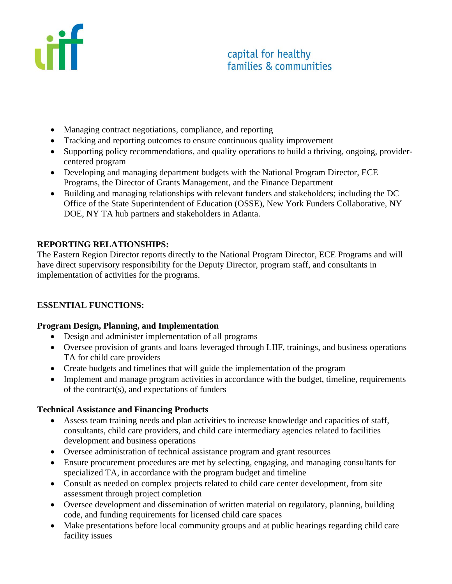

- Managing contract negotiations, compliance, and reporting
- Tracking and reporting outcomes to ensure continuous quality improvement
- Supporting policy recommendations, and quality operations to build a thriving, ongoing, providercentered program
- Developing and managing department budgets with the National Program Director, ECE Programs, the Director of Grants Management, and the Finance Department
- Building and managing relationships with relevant funders and stakeholders; including the DC Office of the State Superintendent of Education (OSSE), New York Funders Collaborative, NY DOE, NY TA hub partners and stakeholders in Atlanta.

# **REPORTING RELATIONSHIPS:**

The Eastern Region Director reports directly to the National Program Director, ECE Programs and will have direct supervisory responsibility for the Deputy Director, program staff, and consultants in implementation of activities for the programs.

# **ESSENTIAL FUNCTIONS:**

## **Program Design, Planning, and Implementation**

- Design and administer implementation of all programs
- Oversee provision of grants and loans leveraged through LIIF, trainings, and business operations TA for child care providers
- Create budgets and timelines that will guide the implementation of the program
- Implement and manage program activities in accordance with the budget, timeline, requirements of the contract(s), and expectations of funders

## **Technical Assistance and Financing Products**

- Assess team training needs and plan activities to increase knowledge and capacities of staff, consultants, child care providers, and child care intermediary agencies related to facilities development and business operations
- Oversee administration of technical assistance program and grant resources
- Ensure procurement procedures are met by selecting, engaging, and managing consultants for specialized TA, in accordance with the program budget and timeline
- Consult as needed on complex projects related to child care center development, from site assessment through project completion
- Oversee development and dissemination of written material on regulatory, planning, building code, and funding requirements for licensed child care spaces
- Make presentations before local community groups and at public hearings regarding child care facility issues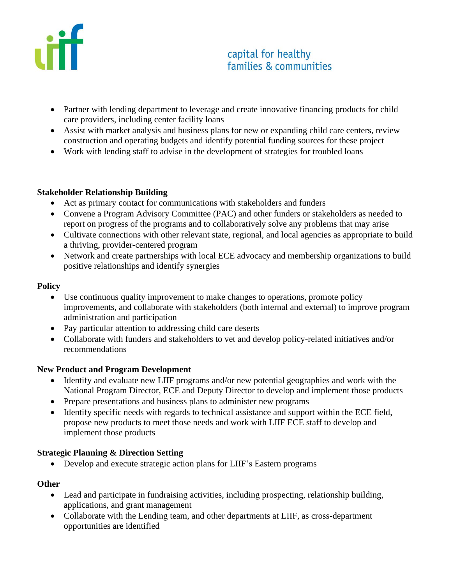

# capital for healthy families & communities

- Partner with lending department to leverage and create innovative financing products for child care providers, including center facility loans
- Assist with market analysis and business plans for new or expanding child care centers, review construction and operating budgets and identify potential funding sources for these project
- Work with lending staff to advise in the development of strategies for troubled loans

#### **Stakeholder Relationship Building**

- Act as primary contact for communications with stakeholders and funders
- Convene a Program Advisory Committee (PAC) and other funders or stakeholders as needed to report on progress of the programs and to collaboratively solve any problems that may arise
- Cultivate connections with other relevant state, regional, and local agencies as appropriate to build a thriving, provider-centered program
- Network and create partnerships with local ECE advocacy and membership organizations to build positive relationships and identify synergies

#### **Policy**

- Use continuous quality improvement to make changes to operations, promote policy improvements, and collaborate with stakeholders (both internal and external) to improve program administration and participation
- Pay particular attention to addressing child care deserts
- Collaborate with funders and stakeholders to vet and develop policy-related initiatives and/or recommendations

## **New Product and Program Development**

- Identify and evaluate new LIIF programs and/or new potential geographies and work with the National Program Director, ECE and Deputy Director to develop and implement those products
- Prepare presentations and business plans to administer new programs
- Identify specific needs with regards to technical assistance and support within the ECE field, propose new products to meet those needs and work with LIIF ECE staff to develop and implement those products

## **Strategic Planning & Direction Setting**

• Develop and execute strategic action plans for LIIF's Eastern programs

#### **Other**

- Lead and participate in fundraising activities, including prospecting, relationship building, applications, and grant management
- Collaborate with the Lending team, and other departments at LIIF, as cross-department opportunities are identified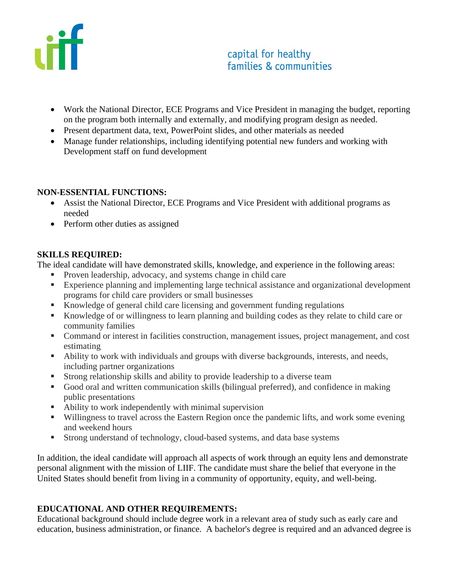

- Work the National Director, ECE Programs and Vice President in managing the budget, reporting on the program both internally and externally, and modifying program design as needed.
- Present department data, text, PowerPoint slides, and other materials as needed
- Manage funder relationships, including identifying potential new funders and working with Development staff on fund development

## **NON-ESSENTIAL FUNCTIONS:**

- Assist the National Director, ECE Programs and Vice President with additional programs as needed
- Perform other duties as assigned

#### **SKILLS REQUIRED:**

The ideal candidate will have demonstrated skills, knowledge, and experience in the following areas:

- Proven leadership, advocacy, and systems change in child care
- Experience planning and implementing large technical assistance and organizational development programs for child care providers or small businesses
- Knowledge of general child care licensing and government funding regulations
- Knowledge of or willingness to learn planning and building codes as they relate to child care or community families
- Command or interest in facilities construction, management issues, project management, and cost estimating
- Ability to work with individuals and groups with diverse backgrounds, interests, and needs, including partner organizations
- Strong relationship skills and ability to provide leadership to a diverse team
- Good oral and written communication skills (bilingual preferred), and confidence in making public presentations
- Ability to work independently with minimal supervision
- Willingness to travel across the Eastern Region once the pandemic lifts, and work some evening and weekend hours
- **EXECUTE:** Strong understand of technology, cloud-based systems, and data base systems

In addition, the ideal candidate will approach all aspects of work through an equity lens and demonstrate personal alignment with the mission of LIIF. The candidate must share the belief that everyone in the United States should benefit from living in a community of opportunity, equity, and well-being.

## **EDUCATIONAL AND OTHER REQUIREMENTS:**

Educational background should include degree work in a relevant area of study such as early care and education, business administration, or finance. A bachelor's degree is required and an advanced degree is